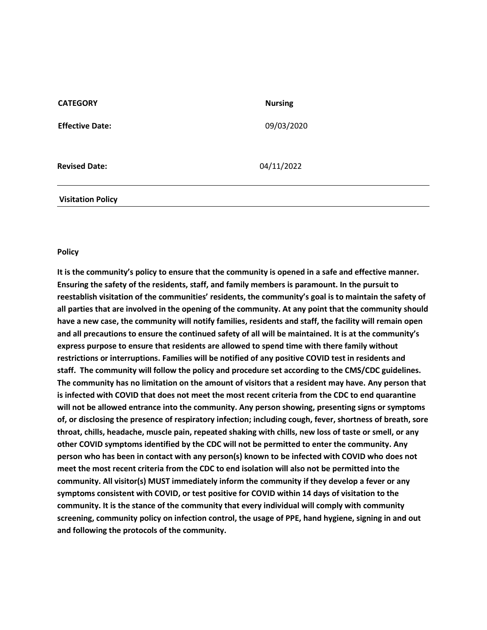| <b>CATEGORY</b>        | <b>Nursing</b> |
|------------------------|----------------|
| <b>Effective Date:</b> | 09/03/2020     |
| <b>Revised Date:</b>   | 04/11/2022     |
|                        |                |

## **Visitation Policy**

## **Policy**

**It is the community's policy to ensure that the community is opened in a safe and effective manner. Ensuring the safety of the residents, staff, and family members is paramount. In the pursuit to reestablish visitation of the communities' residents, the community's goal is to maintain the safety of all parties that are involved in the opening of the community. At any point that the community should have a new case, the community will notify families, residents and staff, the facility will remain open and all precautions to ensure the continued safety of all will be maintained. It is at the community's express purpose to ensure that residents are allowed to spend time with there family without restrictions or interruptions. Families will be notified of any positive COVID test in residents and staff. The community will follow the policy and procedure set according to the CMS/CDC guidelines. The community has no limitation on the amount of visitors that a resident may have. Any person that is infected with COVID that does not meet the most recent criteria from the CDC to end quarantine will not be allowed entrance into the community. Any person showing, presenting signs or symptoms of, or disclosing the presence of respiratory infection; including cough, fever, shortness of breath, sore throat, chills, headache, muscle pain, repeated shaking with chills, new loss of taste or smell, or any other COVID symptoms identified by the CDC will not be permitted to enter the community. Any person who has been in contact with any person(s) known to be infected with COVID who does not meet the most recent criteria from the CDC to end isolation will also not be permitted into the community. All visitor(s) MUST immediately inform the community if they develop a fever or any symptoms consistent with COVID, or test positive for COVID within 14 days of visitation to the community. It is the stance of the community that every individual will comply with community screening, community policy on infection control, the usage of PPE, hand hygiene, signing in and out and following the protocols of the community.**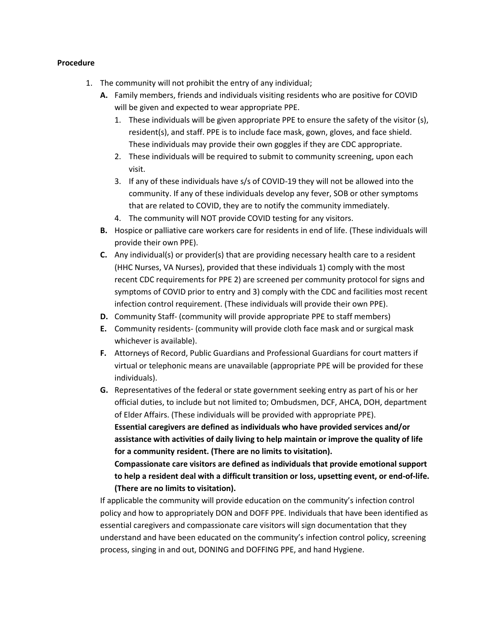## **Procedure**

- 1. The community will not prohibit the entry of any individual;
	- **A.** Family members, friends and individuals visiting residents who are positive for COVID will be given and expected to wear appropriate PPE.
		- 1. These individuals will be given appropriate PPE to ensure the safety of the visitor (s), resident(s), and staff. PPE is to include face mask, gown, gloves, and face shield. These individuals may provide their own goggles if they are CDC appropriate.
		- 2. These individuals will be required to submit to community screening, upon each visit.
		- 3. If any of these individuals have s/s of COVID-19 they will not be allowed into the community. If any of these individuals develop any fever, SOB or other symptoms that are related to COVID, they are to notify the community immediately.
		- 4. The community will NOT provide COVID testing for any visitors.
	- **B.** Hospice or palliative care workers care for residents in end of life. (These individuals will provide their own PPE).
	- **C.** Any individual(s) or provider(s) that are providing necessary health care to a resident (HHC Nurses, VA Nurses), provided that these individuals 1) comply with the most recent CDC requirements for PPE 2) are screened per community protocol for signs and symptoms of COVID prior to entry and 3) comply with the CDC and facilities most recent infection control requirement. (These individuals will provide their own PPE).
	- **D.** Community Staff- (community will provide appropriate PPE to staff members)
	- **E.** Community residents- (community will provide cloth face mask and or surgical mask whichever is available).
	- **F.** Attorneys of Record, Public Guardians and Professional Guardians for court matters if virtual or telephonic means are unavailable (appropriate PPE will be provided for these individuals).
	- **G.** Representatives of the federal or state government seeking entry as part of his or her official duties, to include but not limited to; Ombudsmen, DCF, AHCA, DOH, department of Elder Affairs. (These individuals will be provided with appropriate PPE). **Essential caregivers are defined as individuals who have provided services and/or assistance with activities of daily living to help maintain or improve the quality of life for a community resident. (There are no limits to visitation). Compassionate care visitors are defined as individuals that provide emotional support to help a resident deal with a difficult transition or loss, upsetting event, or end-of-life.**

**(There are no limits to visitation).**

If applicable the community will provide education on the community's infection control policy and how to appropriately DON and DOFF PPE. Individuals that have been identified as essential caregivers and compassionate care visitors will sign documentation that they understand and have been educated on the community's infection control policy, screening process, singing in and out, DONING and DOFFING PPE, and hand Hygiene.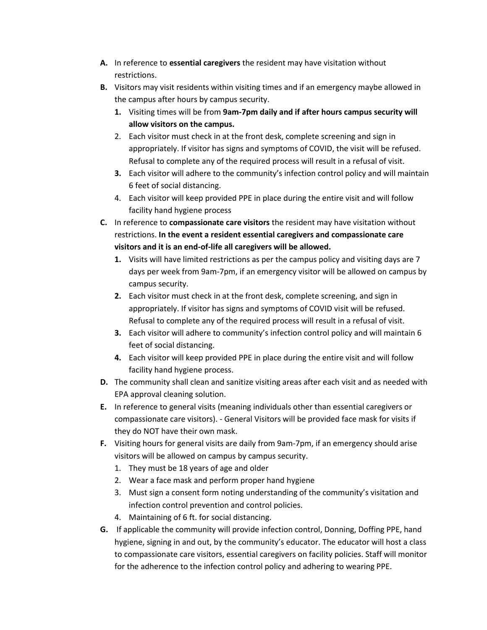- **A.** In reference to **essential caregivers** the resident may have visitation without restrictions.
- **B.** Visitors may visit residents within visiting times and if an emergency maybe allowed in the campus after hours by campus security.
	- **1.** Visiting times will be from **9am-7pm daily and if after hours campus security will allow visitors on the campus.**
	- 2. Each visitor must check in at the front desk, complete screening and sign in appropriately. If visitor has signs and symptoms of COVID, the visit will be refused. Refusal to complete any of the required process will result in a refusal of visit.
	- **3.** Each visitor will adhere to the community's infection control policy and will maintain 6 feet of social distancing.
	- 4. Each visitor will keep provided PPE in place during the entire visit and will follow facility hand hygiene process
- **C.** In reference to **compassionate care visitors** the resident may have visitation without restrictions. **In the event a resident essential caregivers and compassionate care visitors and it is an end-of-life all caregivers will be allowed.**
	- **1.** Visits will have limited restrictions as per the campus policy and visiting days are 7 days per week from 9am-7pm, if an emergency visitor will be allowed on campus by campus security.
	- **2.** Each visitor must check in at the front desk, complete screening, and sign in appropriately. If visitor has signs and symptoms of COVID visit will be refused. Refusal to complete any of the required process will result in a refusal of visit.
	- **3.** Each visitor will adhere to community's infection control policy and will maintain 6 feet of social distancing.
	- **4.** Each visitor will keep provided PPE in place during the entire visit and will follow facility hand hygiene process.
- **D.** The community shall clean and sanitize visiting areas after each visit and as needed with EPA approval cleaning solution.
- **E.** In reference to general visits (meaning individuals other than essential caregivers or compassionate care visitors). - General Visitors will be provided face mask for visits if they do NOT have their own mask.
- **F.** Visiting hours for general visits are daily from 9am-7pm, if an emergency should arise visitors will be allowed on campus by campus security.
	- 1. They must be 18 years of age and older
	- 2. Wear a face mask and perform proper hand hygiene
	- 3. Must sign a consent form noting understanding of the community's visitation and infection control prevention and control policies.
	- 4. Maintaining of 6 ft. for social distancing.
- **G.** If applicable the community will provide infection control, Donning, Doffing PPE, hand hygiene, signing in and out, by the community's educator. The educator will host a class to compassionate care visitors, essential caregivers on facility policies. Staff will monitor for the adherence to the infection control policy and adhering to wearing PPE.